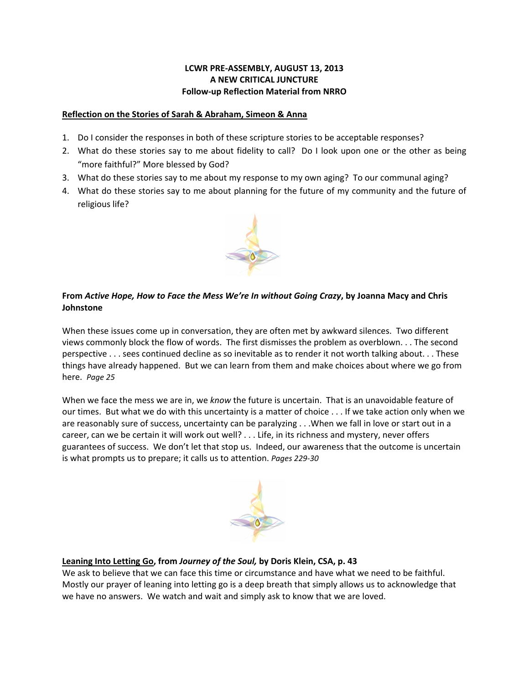### **LCWR PRE‐ASSEMBLY, AUGUST 13, 2013 A NEW CRITICAL JUNCTURE Follow‐up Reflection Material from NRRO**

#### **Reflection on the Stories of Sarah & Abraham, Simeon & Anna**

- 1. Do I consider the responses in both of these scripture stories to be acceptable responses?
- 2. What do these stories say to me about fidelity to call? Do I look upon one or the other as being "more faithful?" More blessed by God?
- 3. What do these stories say to me about my response to my own aging? To our communal aging?
- 4. What do these stories say to me about planning for the future of my community and the future of religious life?



# From Active Hope, How to Face the Mess We're In without Going Crazy, by Joanna Macy and Chris **Johnstone**

When these issues come up in conversation, they are often met by awkward silences. Two different views commonly block the flow of words. The first dismisses the problem as overblown. . . The second perspective . . . sees continued decline as so inevitable as to render it not worth talking about. . . These things have already happened. But we can learn from them and make choices about where we go from here. *Page 25*

When we face the mess we are in, we *know* the future is uncertain. That is an unavoidable feature of our times. But what we do with this uncertainty is a matter of choice . . . If we take action only when we are reasonably sure of success, uncertainty can be paralyzing . . .When we fall in love or start out in a career, can we be certain it will work out well? . . . Life, in its richness and mystery, never offers guarantees of success. We don't let that stop us. Indeed, our awareness that the outcome is uncertain is what prompts us to prepare; it calls us to attention. *Pages 229‐30*



## **Leaning Into Letting Go, from** *Journey of the Soul,* **by Doris Klein, CSA, p. 43**

We ask to believe that we can face this time or circumstance and have what we need to be faithful. Mostly our prayer of leaning into letting go is a deep breath that simply allows us to acknowledge that we have no answers. We watch and wait and simply ask to know that we are loved.